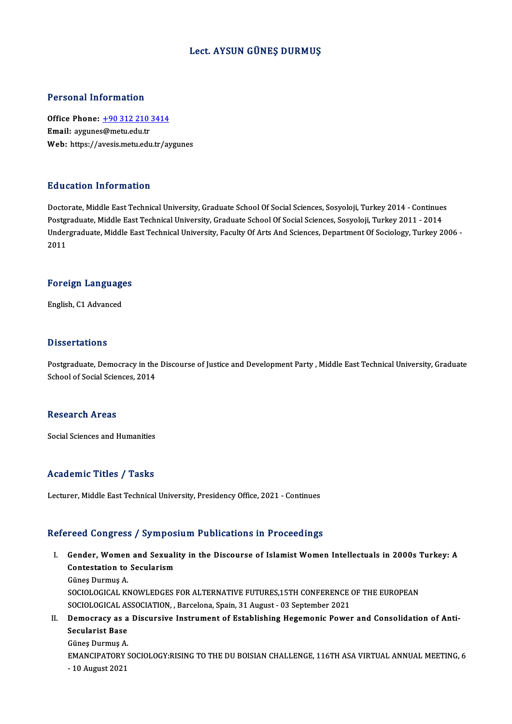# Lect. AYSUN GÜNEŞ DURMUŞ

## Personal Information

Personal Information<br>Office Phone: <u>+90 312 210 3414</u><br>Email: avgunes@metu.edu.tr Procedulation<br>Office Phone: <u>+90 312 210</u><br>Email: aygune[s@metu.edu.tr](tel:+90 312 210 3414) Email: aygunes@metu.edu.tr<br>Web: https://avesis.metu.edu.tr/aygunes

# Education Information

Doctorate, Middle East Technical University, Graduate School Of Social Sciences, Sosyoloji, Turkey 2014 - Continues Puususeen Tittof Inderon<br>Doctorate, Middle East Technical University, Graduate School Of Social Sciences, Sosyoloji, Turkey 2014 - Continues<br>Postgraduate, Middle East Technical University, Graduate School Of Social Science Undergraduate, Middle East Technical University, Faculty Of Arts And Sciences, Department Of Sociology, Turkey 2006 -<br>2011 Postgi<br>Under<br>2011

# <sub>2011</sub><br>Foreign Languages F<mark>oreign Languag</mark>e<br>English, C1 Advanced

English, C1 Advanced<br>Dissertations

Dissertations<br>Postgraduate, Democracy in the Discourse of Justice and Development Party , Middle East Technical University, Graduate<br>School of Sosial Sciences, 2014 of Social Cattons<br>Postgraduate, Democracy in the<br>School of Social Sciences, 2014 School of Social Sciences, 2014<br>Research Areas

Social Sciences and Humanities

## Academic Titles / Tasks

Lecturer, Middle East Technical University, Presidency Office, 2021 - Continues

## Refereed Congress / Symposium Publications in Proceedings

efereed Congress / Symposium Publications in Proceedings<br>I. Gender, Women and Sexuality in the Discourse of Islamist Women Intellectuals in 2000s Turkey: A<br>Contestation to Secularism Contestation to Secularism<br>Contestation to Secularism Contestation to Secularism<br>Güneş Durmuş A. Contestation to Secularism<br>Güneş Durmuş A.<br>SOCIOLOGICAL KNOWLEDGES FOR ALTERNATIVE FUTURES,15TH CONFERENCE OF THE EUROPEAN<br>SOCIOLOGICAL ASSOCIATION, Parcelone Spain 31 August, 03 Sontamber 3031

Güneş Durmuş A.<br>SOCIOLOGICAL KNOWLEDGES FOR ALTERNATIVE FUTURES,15TH CONFERENCE (<br>SOCIOLOGICAL ASSOCIATION, , Barcelona, Spain, 31 August - 03 September 2021<br>Demogracy as a Discursive Instrument of Establishing Hegemonic B SOCIOLOGICAL KNOWLEDGES FOR ALTERNATIVE FUTURES,15TH CONFERENCE OF THE EUROPEAN<br>SOCIOLOGICAL ASSOCIATION, , Barcelona, Spain, 31 August - 03 September 2021<br>II. Democracy as a Discursive Instrument of Establishing Hegemonic

# SOCIOLOGICAL AS<br>Democracy as a<br>Secularist Base<br>Cünes Durmus A Democracy as a<br>Secularist Base<br>Güneş Durmuş A.<br>EMANCIBATORY S Secularist Base<br>Güneş Durmuş A.<br>EMANCIPATORY SOCIOLOGY:RISING TO THE DU BOISIAN CHALLENGE, 116TH ASA VIRTUAL ANNUAL MEETING, 6<br>- 10 Ayrust 2021 Güneş Durmuş A<br>EMANCIPATORY<br>- 10 August 2021